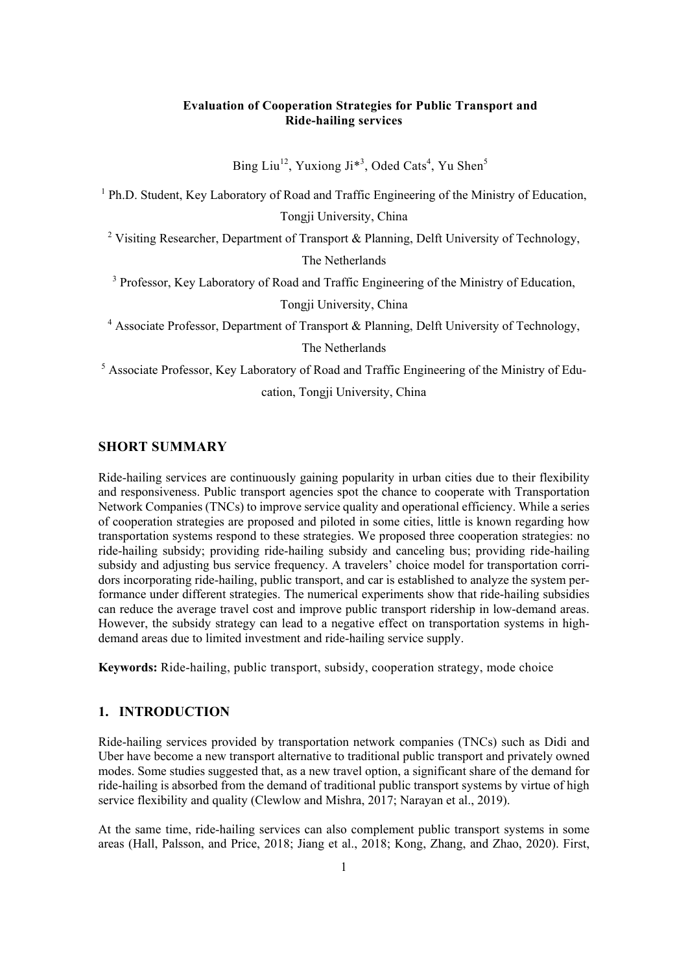## **Evaluation of Cooperation Strategies for Public Transport and Ride-hailing services**

Bing Liu<sup>12</sup>, Yuxiong Ji<sup>\*3</sup>, Oded Cats<sup>4</sup>, Yu Shen<sup>5</sup>

<sup>1</sup> Ph.D. Student, Key Laboratory of Road and Traffic Engineering of the Ministry of Education,

Tongji University, China

<sup>2</sup> Visiting Researcher, Department of Transport & Planning, Delft University of Technology,

The Netherlands

<sup>3</sup> Professor, Key Laboratory of Road and Traffic Engineering of the Ministry of Education,

Tongji University, China

<sup>4</sup> Associate Professor, Department of Transport & Planning, Delft University of Technology,

The Netherlands

<sup>5</sup> Associate Professor, Key Laboratory of Road and Traffic Engineering of the Ministry of Edu-

cation, Tongji University, China

## **SHORT SUMMARY**

Ride-hailing services are continuously gaining popularity in urban cities due to their flexibility and responsiveness. Public transport agencies spot the chance to cooperate with Transportation Network Companies (TNCs) to improve service quality and operational efficiency. While a series of cooperation strategies are proposed and piloted in some cities, little is known regarding how transportation systems respond to these strategies. We proposed three cooperation strategies: no ride-hailing subsidy; providing ride-hailing subsidy and canceling bus; providing ride-hailing subsidy and adjusting bus service frequency. A travelers' choice model for transportation corridors incorporating ride-hailing, public transport, and car is established to analyze the system performance under different strategies. The numerical experiments show that ride-hailing subsidies can reduce the average travel cost and improve public transport ridership in low-demand areas. However, the subsidy strategy can lead to a negative effect on transportation systems in highdemand areas due to limited investment and ride-hailing service supply.

**Keywords:** Ride-hailing, public transport, subsidy, cooperation strategy, mode choice

# **1. INTRODUCTION**

Ride-hailing services provided by transportation network companies (TNCs) such as Didi and Uber have become a new transport alternative to traditional public transport and privately owned modes. Some studies suggested that, as a new travel option, a significant share of the demand for ride-hailing is absorbed from the demand of traditional public transport systems by virtue of high service flexibility and quality (Clewlow and Mishra, 2017; Narayan et al., 2019).

At the same time, ride-hailing services can also complement public transport systems in some areas (Hall, Palsson, and Price, 2018; Jiang et al., 2018; Kong, Zhang, and Zhao, 2020). First,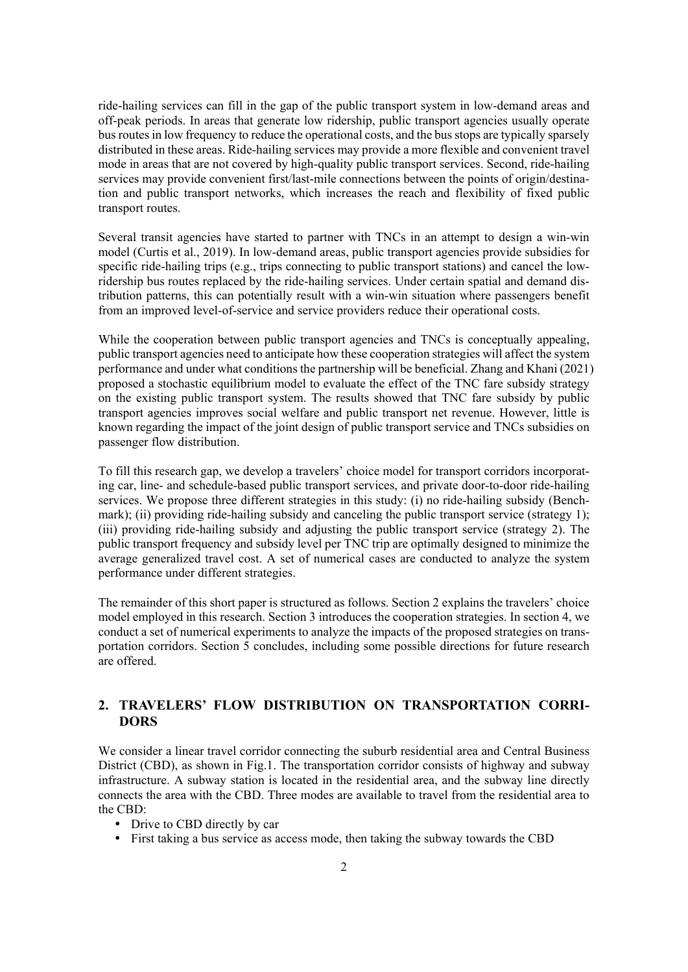ride-hailing services can fill in the gap of the public transport system in low-demand areas and off-peak periods. In areas that generate low ridership, public transport agencies usually operate bus routes in low frequency to reduce the operational costs, and the bus stops are typically sparsely distributed in these areas. Ride-hailing services may provide a more flexible and convenient travel mode in areas that are not covered by high-quality public transport services. Second, ride-hailing services may provide convenient first/last-mile connections between the points of origin/destination and public transport networks, which increases the reach and flexibility of fixed public transport routes.

Several transit agencies have started to partner with TNCs in an attempt to design a win-win model (Curtis et al., 2019). In low-demand areas, public transport agencies provide subsidies for specific ride-hailing trips (e.g., trips connecting to public transport stations) and cancel the lowridership bus routes replaced by the ride-hailing services. Under certain spatial and demand distribution patterns, this can potentially result with a win-win situation where passengers benefit from an improved level-of-service and service providers reduce their operational costs.

While the cooperation between public transport agencies and TNCs is conceptually appealing, public transport agencies need to anticipate how these cooperation strategies will affect the system performance and under what conditions the partnership will be beneficial. Zhang and Khani (2021) proposed a stochastic equilibrium model to evaluate the effect of the TNC fare subsidy strategy on the existing public transport system. The results showed that TNC fare subsidy by public transport agencies improves social welfare and public transport net revenue. However, little is known regarding the impact of the joint design of public transport service and TNCs subsidies on passenger flow distribution.

To fill this research gap, we develop a travelers' choice model for transport corridors incorporating car, line- and schedule-based public transport services, and private door-to-door ride-hailing services. We propose three different strategies in this study: (i) no ride-hailing subsidy (Benchmark); (ii) providing ride-hailing subsidy and canceling the public transport service (strategy 1); (iii) providing ride-hailing subsidy and adjusting the public transport service (strategy 2). The public transport frequency and subsidy level per TNC trip are optimally designed to minimize the average generalized travel cost. A set of numerical cases are conducted to analyze the system performance under different strategies.

The remainder of this short paper is structured as follows. Section 2 explains the travelers' choice model employed in this research. Section 3 introduces the cooperation strategies. In section 4, we conduct a set of numerical experiments to analyze the impacts of the proposed strategies on transportation corridors. Section 5 concludes, including some possible directions for future research are offered.

# **2. TRAVELERS' FLOW DISTRIBUTION ON TRANSPORTATION CORRI-DORS**

We consider a linear travel corridor connecting the suburb residential area and Central Business District (CBD), as shown in Fig.1. The transportation corridor consists of highway and subway infrastructure. A subway station is located in the residential area, and the subway line directly connects the area with the CBD. Three modes are available to travel from the residential area to the CBD:

- Drive to CBD directly by car
- First taking a bus service as access mode, then taking the subway towards the CBD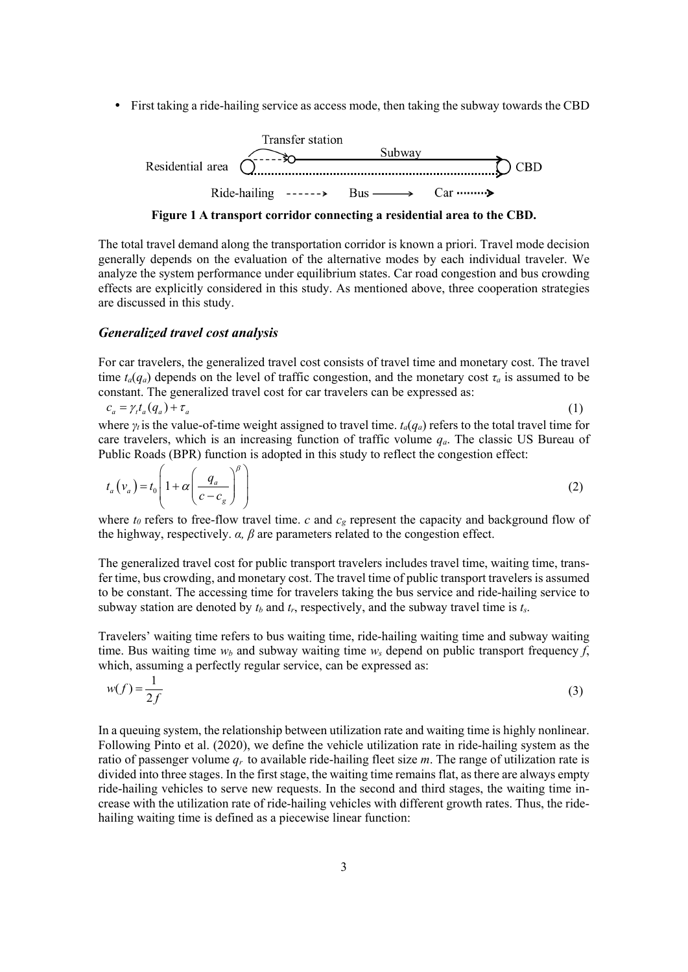First taking a ride-hailing service as access mode, then taking the subway towards the CBD



**Figure 1 A transport corridor connecting a residential area to the CBD.**

The total travel demand along the transportation corridor is known a priori. Travel mode decision generally depends on the evaluation of the alternative modes by each individual traveler. We analyze the system performance under equilibrium states. Car road congestion and bus crowding effects are explicitly considered in this study. As mentioned above, three cooperation strategies are discussed in this study.

#### *Generalized travel cost analysis*

For car travelers, the generalized travel cost consists of travel time and monetary cost. The travel time  $t_a(q_a)$  depends on the level of traffic congestion, and the monetary cost  $\tau_a$  is assumed to be constant. The generalized travel cost for car travelers can be expressed as:

$$
c_a = \gamma_t t_a(q_a) + \tau_a \tag{1}
$$

where  $\gamma_t$  is the value-of-time weight assigned to travel time.  $t_a(q_a)$  refers to the total travel time for care travelers, which is an increasing function of traffic volume  $q_a$ . The classic US Bureau of Public Roads (BPR) function is adopted in this study to reflect the congestion effect:

$$
t_a(v_a) = t_0 \left( 1 + \alpha \left( \frac{q_a}{c - c_g} \right)^{\beta} \right) \tag{2}
$$

where  $t_0$  refers to free-flow travel time.  $c$  and  $c_g$  represent the capacity and background flow of the highway, respectively. *α, β* are parameters related to the congestion effect.

The generalized travel cost for public transport travelers includes travel time, waiting time, transfer time, bus crowding, and monetary cost. The travel time of public transport travelers is assumed to be constant. The accessing time for travelers taking the bus service and ride-hailing service to subway station are denoted by  $t_b$  and  $t_r$ , respectively, and the subway travel time is  $t_s$ .

Travelers' waiting time refers to bus waiting time, ride-hailing waiting time and subway waiting time. Bus waiting time  $w_b$  and subway waiting time  $w_s$  depend on public transport frequency f, which, assuming a perfectly regular service, can be expressed as:

$$
w(f) = \frac{1}{2f}
$$
 (3)

In a queuing system, the relationship between utilization rate and waiting time is highly nonlinear. Following Pinto et al. (2020), we define the vehicle utilization rate in ride-hailing system as the ratio of passenger volume  $q_r$  to available ride-hailing fleet size  $m$ . The range of utilization rate is divided into three stages. In the first stage, the waiting time remains flat, as there are always empty ride-hailing vehicles to serve new requests. In the second and third stages, the waiting time increase with the utilization rate of ride-hailing vehicles with different growth rates. Thus, the ridehailing waiting time is defined as a piecewise linear function: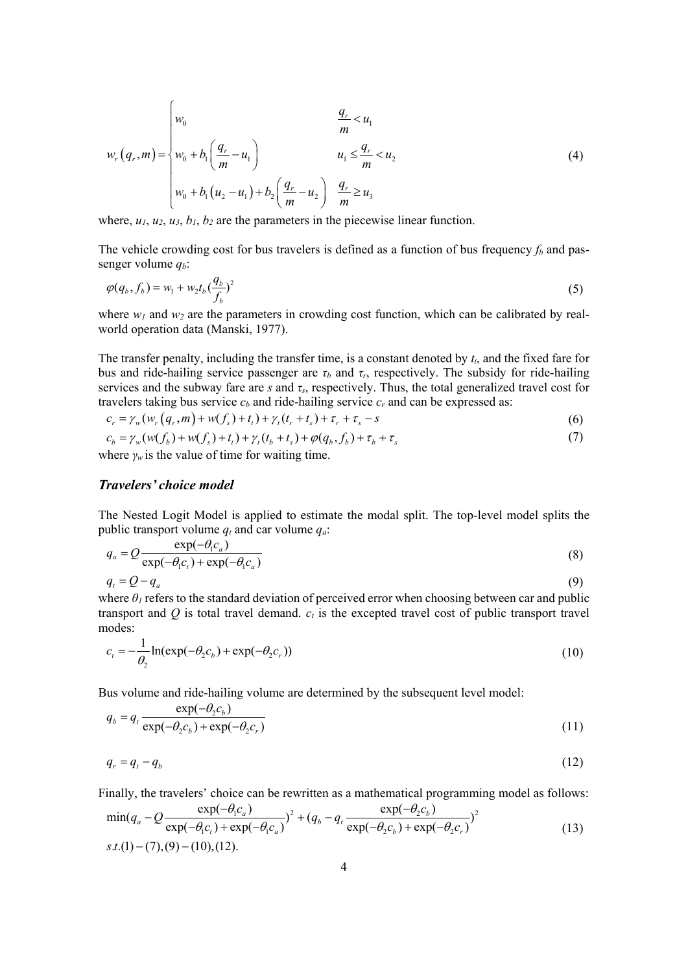$$
w_r(q_r, m) = \begin{cases} w_0 & \frac{q_r}{m} < u_1 \\ w_0 + b_1 \left(\frac{q_r}{m} - u_1\right) & u_1 \le \frac{q_r}{m} < u_2 \\ w_0 + b_1 (u_2 - u_1) + b_2 \left(\frac{q_r}{m} - u_2\right) & \frac{q_r}{m} \ge u_3 \end{cases}
$$
(4)

where,  $u_1, u_2, u_3, b_1, b_2$  are the parameters in the piecewise linear function.

The vehicle crowding cost for bus travelers is defined as a function of bus frequency  $f_b$  and passenger volume *qb*:

$$
\varphi(q_b, f_b) = w_1 + w_2 t_b \left(\frac{q_b}{f_b}\right)^2 \tag{5}
$$

where  $w_1$  and  $w_2$  are the parameters in crowding cost function, which can be calibrated by realworld operation data (Manski, 1977).

The transfer penalty, including the transfer time, is a constant denoted by  $t_t$ , and the fixed fare for bus and ride-hailing service passenger are  $\tau_b$  and  $\tau_r$ , respectively. The subsidy for ride-hailing services and the subway fare are *s* and  $\tau_s$ , respectively. Thus, the total generalized travel cost for travelers taking bus service  $c<sub>b</sub>$  and ride-hailing service  $c<sub>r</sub>$  and can be expressed as:

$$
c_r = \gamma_w(w_r(q_r, m) + w(f_s) + t_t) + \gamma_t(t_r + t_s) + \tau_r + \tau_s - s
$$
\n(6)

$$
c_b = \gamma_w(w(f_b) + w(f_s) + t_t) + \gamma_t(t_b + t_s) + \varphi(q_b, f_b) + \tau_b + \tau_s
$$
\n<sup>(7)</sup>

where  $\gamma_w$  is the value of time for waiting time.

### *Travelers' choice model*

The Nested Logit Model is applied to estimate the modal split. The top-level model splits the public transport volume  $q_t$  and car volume  $q_a$ .

$$
q_a = Q \frac{\exp(-\theta_1 c_a)}{\exp(-\theta_1 c_t) + \exp(-\theta_1 c_a)}
$$
(8)  

$$
q_t = Q - q_a
$$
(9)

where  $\theta_l$  refers to the standard deviation of perceived error when choosing between car and public transport and  $Q$  is total travel demand.  $c_t$  is the excepted travel cost of public transport travel modes:

$$
c_t = -\frac{1}{\theta_2} \ln(\exp(-\theta_2 c_b) + \exp(-\theta_2 c_r))
$$
\n(10)

Bus volume and ride-hailing volume are determined by the subsequent level model:

$$
q_b = q_t \frac{\exp(-\theta_2 c_b)}{\exp(-\theta_2 c_b) + \exp(-\theta_2 c_r)}
$$
(11)

$$
q_r = q_t - q_b \tag{12}
$$

Finally, the travelers' choice can be rewritten as a mathematical programming model as follows:

$$
\min(q_a - Q \frac{\exp(-\theta_1 c_a)}{\exp(-\theta_1 c_t) + \exp(-\theta_1 c_a)})^2 + (q_b - q_t \frac{\exp(-\theta_2 c_b)}{\exp(-\theta_2 c_b) + \exp(-\theta_2 c_r)})^2
$$
\n
$$
s.t.(1) - (7),(9) - (10),(12).
$$
\n(13)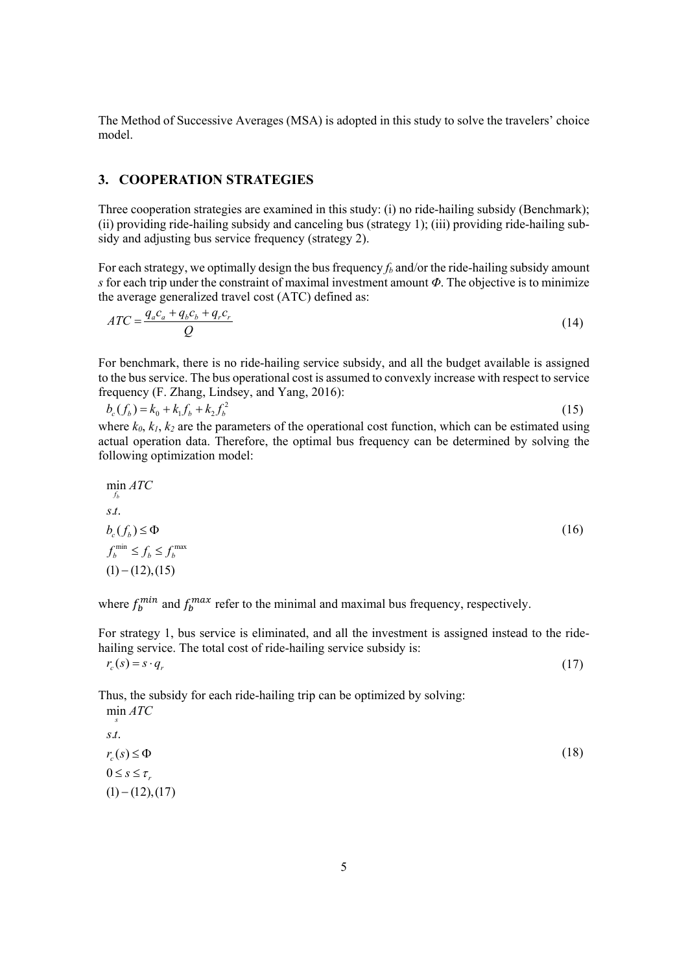The Method of Successive Averages (MSA) is adopted in this study to solve the travelers' choice model.

## **3. COOPERATION STRATEGIES**

Three cooperation strategies are examined in this study: (i) no ride-hailing subsidy (Benchmark); (ii) providing ride-hailing subsidy and canceling bus (strategy 1); (iii) providing ride-hailing subsidy and adjusting bus service frequency (strategy 2).

For each strategy, we optimally design the bus frequency  $f_b$  and/or the ride-hailing subsidy amount *s* for each trip under the constraint of maximal investment amount *Φ*. The objective is to minimize the average generalized travel cost (ATC) defined as:

$$
ATC = \frac{q_a c_a + q_b c_b + q_r c_r}{Q} \tag{14}
$$

For benchmark, there is no ride-hailing service subsidy, and all the budget available is assigned to the bus service. The bus operational cost is assumed to convexly increase with respect to service frequency (F. Zhang, Lindsey, and Yang, 2016):

$$
b_c(f_b) = k_0 + k_1 f_b + k_2 f_b^2
$$
\n(15)  
\nwhere  $k_0$ ,  $k_1$ ,  $k_2$  are the parameters of the operational cost function which can be estimated using

where  $k_0$ ,  $k_1$ ,  $k_2$  are the parameters of the operational cost function, which can be estimated using actual operation data. Therefore, the optimal bus frequency can be determined by solving the following optimization model:

$$
\min_{f_b} ATC
$$
\n
$$
s.t.
$$
\n
$$
b_c(f_b) \le \Phi
$$
\n
$$
f_b^{\min} \le f_b \le f_b^{\max}
$$
\n
$$
(1- (12),(15))
$$
\n(10)

where  $f_b^{mn}$  and  $f_b^{max}$  refer to the minimal and maximal bus frequency, respectively.

For strategy 1, bus service is eliminated, and all the investment is assigned instead to the ridehailing service. The total cost of ride-hailing service subsidy is:

 $r_c(s) = s \cdot q_r$  (17)

Thus, the subsidy for each ride-hailing trip can be optimized by solving:

min *ATC* . . *s t*  $r_c(s) \leq \Phi$  $0 \leq s \leq \tau$  $(1) - (12), (17)$ *s* (18)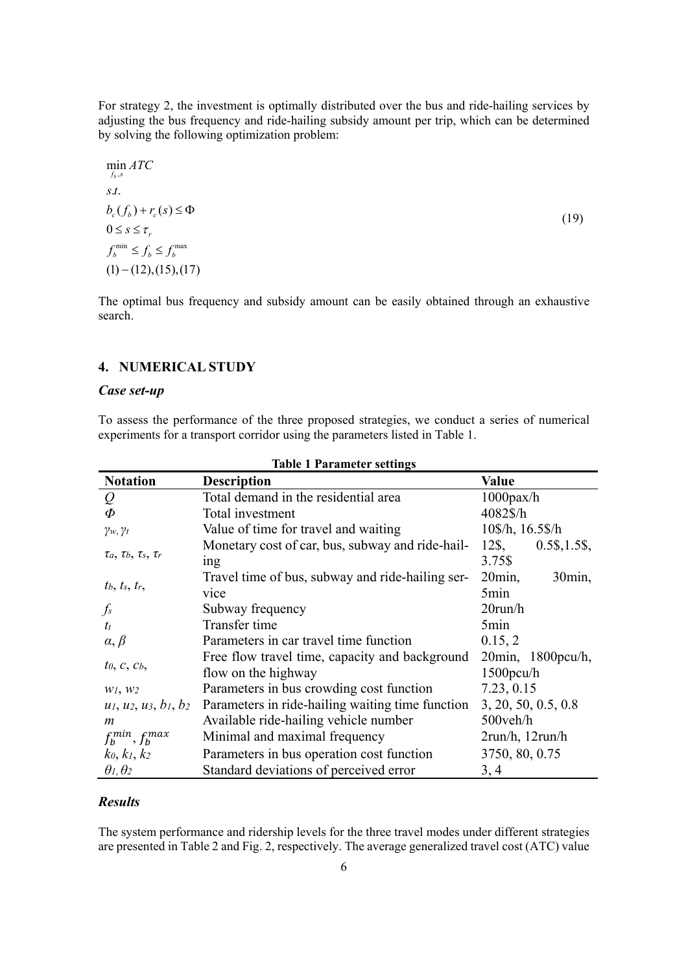For strategy 2, the investment is optimally distributed over the bus and ride-hailing services by adjusting the bus frequency and ride-hailing subsidy amount per trip, which can be determined by solving the following optimization problem:

$$
\min_{f_b, s} ATC
$$
\n
$$
s.t.
$$
\n
$$
b_c(f_b) + r_c(s) \le \Phi
$$
\n
$$
0 \le s \le \tau_r
$$
\n
$$
f_b^{\min} \le f_b \le f_b^{\max}
$$
\n
$$
(1) - (12), (15), (17)
$$
\n
$$
(17)
$$

The optimal bus frequency and subsidy amount can be easily obtained through an exhaustive search.

## **4. NUMERICAL STUDY**

## *Case set-up*

To assess the performance of the three proposed strategies, we conduct a series of numerical experiments for a transport corridor using the parameters listed in Table 1.

| Table 1 1 al allietti settings   |                                                                       |                                    |  |  |
|----------------------------------|-----------------------------------------------------------------------|------------------------------------|--|--|
| <b>Notation</b>                  | <b>Description</b>                                                    | <b>Value</b>                       |  |  |
| Q                                | Total demand in the residential area                                  | $1000$ pax/h                       |  |  |
| $\Phi$                           | Total investment                                                      | 4082\$/h                           |  |  |
| $\gamma_w, \gamma_t$             | Value of time for travel and waiting                                  | 10\$/h, 16.5\$/h                   |  |  |
| $\tau_a, \tau_b, \tau_s, \tau_r$ | Monetary cost of car, bus, subway and ride-hail-<br>ing               | $0.5\$ , 1.5\;<br>12\$,<br>3.75\$  |  |  |
| $t_b$ , $t_s$ , $t_r$ ,          | Travel time of bus, subway and ride-hailing ser-<br>vice              | $20\text{min}$ ,<br>30min,<br>5min |  |  |
| $\int_S$                         | Subway frequency                                                      | $20$ run/h                         |  |  |
| $t_{t}$                          | Transfer time                                                         | 5min                               |  |  |
| $\alpha, \beta$                  | Parameters in car travel time function                                | 0.15, 2                            |  |  |
| $t_0$ , $c$ , $c_b$ ,            | Free flow travel time, capacity and background<br>flow on the highway | 20min, 1800pcu/h,<br>$1500$ pcu/h  |  |  |
| W <sub>1</sub> , W <sub>2</sub>  | Parameters in bus crowding cost function                              | 7.23, 0.15                         |  |  |
| $u_1, u_2, u_3, b_1, b_2$        | Parameters in ride-hailing waiting time function                      | 3, 20, 50, 0.5, 0.8                |  |  |
| m                                | Available ride-hailing vehicle number                                 | 500veh/h                           |  |  |
| $f_h^{min}, f_h^{max}$           | Minimal and maximal frequency                                         | $2run/h$ , $12run/h$               |  |  |
| $k_0, k_1, k_2$                  | Parameters in bus operation cost function                             | 3750, 80, 0.75                     |  |  |
| $\theta_1, \theta_2$             | Standard deviations of perceived error                                | 3, 4                               |  |  |

# **Table 1 Parameter settings**

#### *Results*

The system performance and ridership levels for the three travel modes under different strategies are presented in Table 2 and Fig. 2, respectively. The average generalized travel cost (ATC) value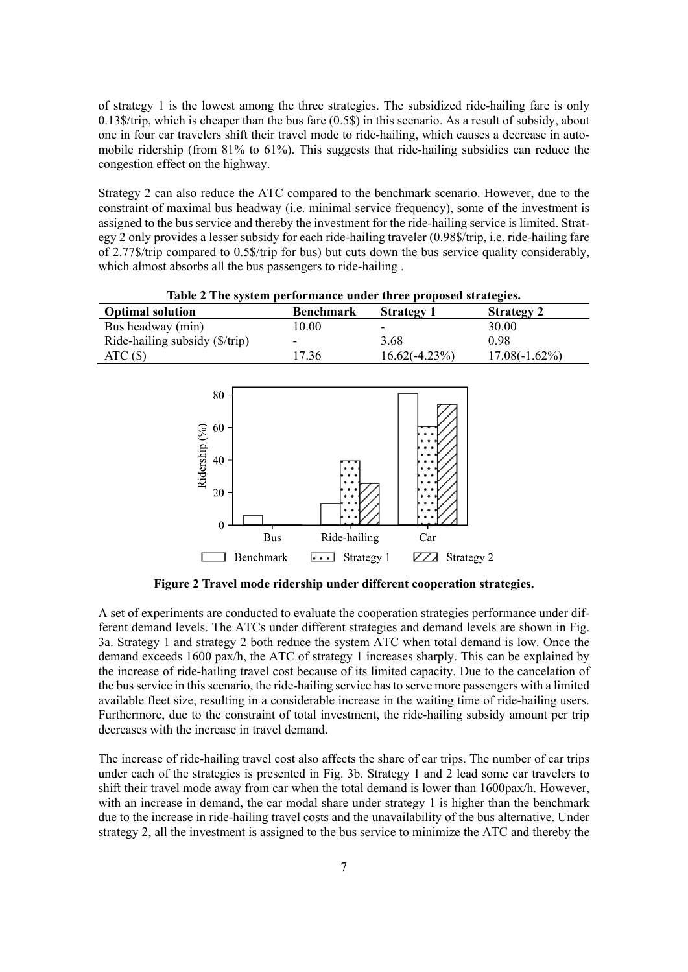of strategy 1 is the lowest among the three strategies. The subsidized ride-hailing fare is only 0.13\$/trip, which is cheaper than the bus fare (0.5\$) in this scenario. As a result of subsidy, about one in four car travelers shift their travel mode to ride-hailing, which causes a decrease in automobile ridership (from 81% to 61%). This suggests that ride-hailing subsidies can reduce the congestion effect on the highway.

Strategy 2 can also reduce the ATC compared to the benchmark scenario. However, due to the constraint of maximal bus headway (i.e. minimal service frequency), some of the investment is assigned to the bus service and thereby the investment for the ride-hailing service is limited. Strategy 2 only provides a lesser subsidy for each ride-hailing traveler (0.98\$/trip, i.e. ride-hailing fare of 2.77\$/trip compared to 0.5\$/trip for bus) but cuts down the bus service quality considerably, which almost absorbs all the bus passengers to ride-hailing .

| Table 2 The system performance under three proposed strategies. |                  |                          |                   |  |  |
|-----------------------------------------------------------------|------------------|--------------------------|-------------------|--|--|
| <b>Optimal solution</b>                                         | <b>Benchmark</b> | <b>Strategy 1</b>        | <b>Strategy 2</b> |  |  |
| Bus headway (min)                                               | 10.00            | $\overline{\phantom{0}}$ | 30.00             |  |  |
| Ride-hailing subsidy $(\frac{f}{f}$                             |                  | 3.68                     | 0.98              |  |  |
| ATC(S)                                                          | 17.36            | $16.62(-4.23%)$          | $17.08(-1.62\%)$  |  |  |



**Figure 2 Travel mode ridership under different cooperation strategies.**

A set of experiments are conducted to evaluate the cooperation strategies performance under different demand levels. The ATCs under different strategies and demand levels are shown in Fig. 3a. Strategy 1 and strategy 2 both reduce the system ATC when total demand is low. Once the demand exceeds 1600 pax/h, the ATC of strategy 1 increases sharply. This can be explained by the increase of ride-hailing travel cost because of its limited capacity. Due to the cancelation of the bus service in this scenario, the ride-hailing service has to serve more passengers with a limited available fleet size, resulting in a considerable increase in the waiting time of ride-hailing users. Furthermore, due to the constraint of total investment, the ride-hailing subsidy amount per trip decreases with the increase in travel demand.

The increase of ride-hailing travel cost also affects the share of car trips. The number of car trips under each of the strategies is presented in Fig. 3b. Strategy 1 and 2 lead some car travelers to shift their travel mode away from car when the total demand is lower than 1600pax/h. However, with an increase in demand, the car modal share under strategy 1 is higher than the benchmark due to the increase in ride-hailing travel costs and the unavailability of the bus alternative. Under strategy 2, all the investment is assigned to the bus service to minimize the ATC and thereby the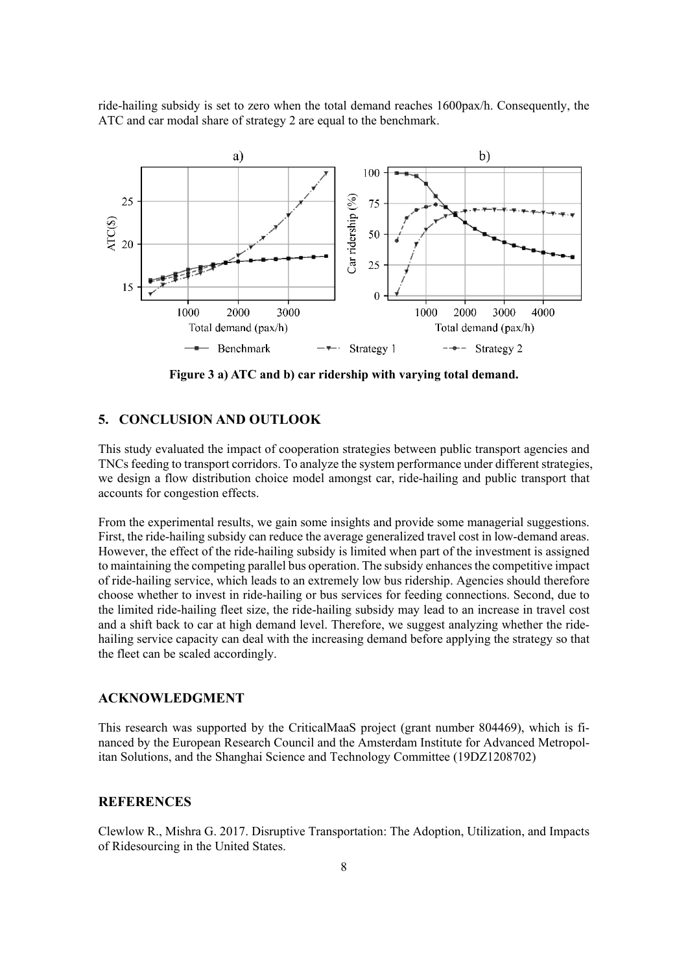



**Figure 3 a) ATC and b) car ridership with varying total demand.**

#### **5. CONCLUSION AND OUTLOOK**

This study evaluated the impact of cooperation strategies between public transport agencies and TNCs feeding to transport corridors. To analyze the system performance under different strategies, we design a flow distribution choice model amongst car, ride-hailing and public transport that accounts for congestion effects.

From the experimental results, we gain some insights and provide some managerial suggestions. First, the ride-hailing subsidy can reduce the average generalized travel cost in low-demand areas. However, the effect of the ride-hailing subsidy is limited when part of the investment is assigned to maintaining the competing parallel bus operation. The subsidy enhances the competitive impact of ride-hailing service, which leads to an extremely low bus ridership. Agencies should therefore choose whether to invest in ride-hailing or bus services for feeding connections. Second, due to the limited ride-hailing fleet size, the ride-hailing subsidy may lead to an increase in travel cost and a shift back to car at high demand level. Therefore, we suggest analyzing whether the ridehailing service capacity can deal with the increasing demand before applying the strategy so that the fleet can be scaled accordingly.

#### **ACKNOWLEDGMENT**

This research was supported by the CriticalMaaS project (grant number 804469), which is financed by the European Research Council and the Amsterdam Institute for Advanced Metropolitan Solutions, and the Shanghai Science and Technology Committee (19DZ1208702)

## **REFERENCES**

Clewlow R., Mishra G. 2017. Disruptive Transportation: The Adoption, Utilization, and Impacts of Ridesourcing in the United States.